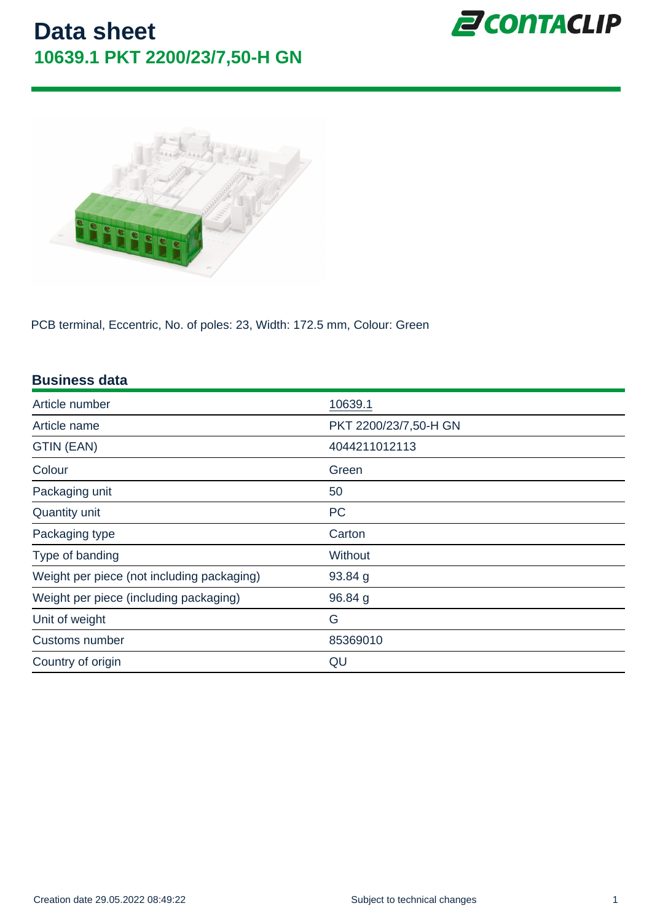PCB terminal, Eccentric, No. of poles: 23, Width: 172.5 mm, Colour: Green

| <b>Business data</b>                       |                       |
|--------------------------------------------|-----------------------|
| Article number                             | 10639.1               |
| Article name                               | PKT 2200/23/7,50-H GN |
| GTIN (EAN)                                 | 4044211012113         |
| Colour                                     | Green                 |
| Packaging unit                             | 50                    |
| Quantity unit                              | <b>PC</b>             |
| Packaging type                             | Carton                |
| Type of banding                            | Without               |
| Weight per piece (not including packaging) | 93.84 g               |
| Weight per piece (including packaging)     | 96.84 g               |
| Unit of weight                             | G                     |
| Customs number                             | 85369010              |
| Country of origin                          | QU                    |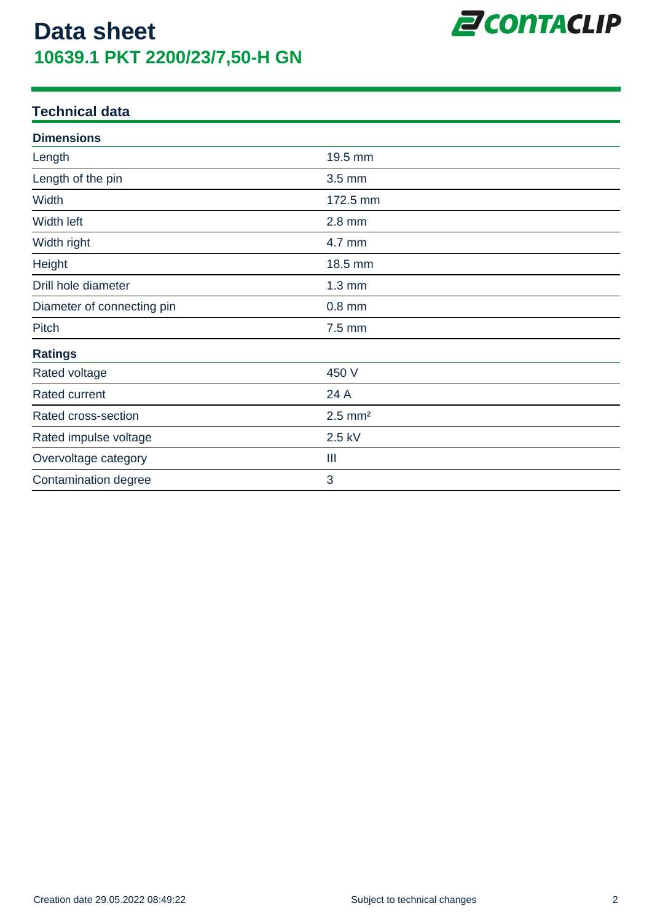

### **Technical data**

| <b>Dimensions</b>          |                       |  |
|----------------------------|-----------------------|--|
| Length                     | 19.5 mm               |  |
| Length of the pin          | $3.5 \text{ mm}$      |  |
| Width                      | 172.5 mm              |  |
| Width left                 | $2.8$ mm              |  |
| Width right                | 4.7 mm                |  |
| Height                     | 18.5 mm               |  |
| Drill hole diameter        | $1.3 \text{ mm}$      |  |
| Diameter of connecting pin | $0.8$ mm              |  |
| Pitch                      | 7.5 mm                |  |
| <b>Ratings</b>             |                       |  |
| Rated voltage              | 450 V                 |  |
| Rated current              | 24 A                  |  |
| Rated cross-section        | $2.5$ mm <sup>2</sup> |  |
| Rated impulse voltage      | 2.5 kV                |  |
| Overvoltage category       | Ш                     |  |
| Contamination degree       | 3                     |  |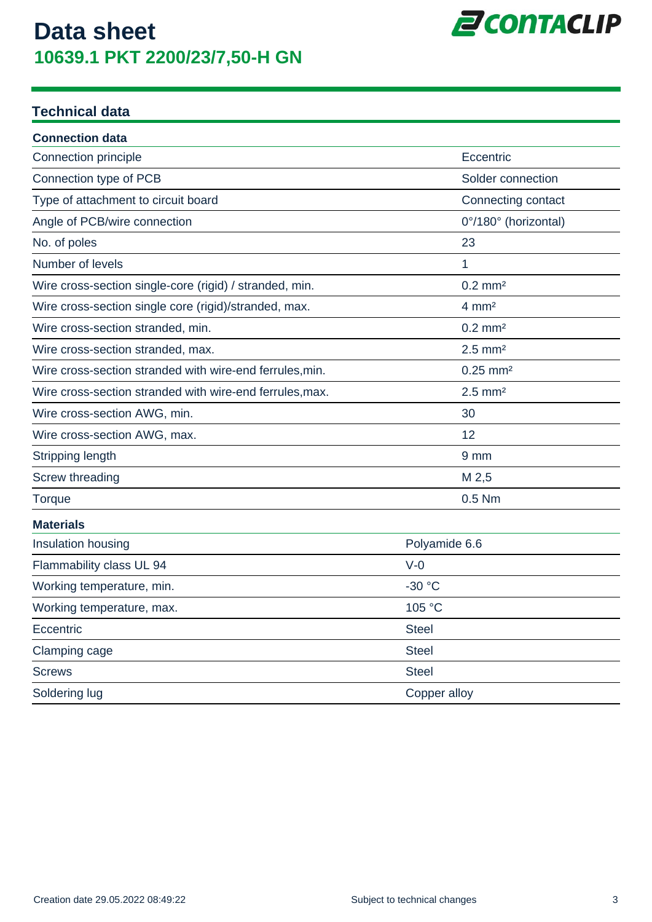

### **Technical data**

| <b>Connection data</b>                                   |                        |
|----------------------------------------------------------|------------------------|
| <b>Connection principle</b>                              | Eccentric              |
| Connection type of PCB                                   | Solder connection      |
| Type of attachment to circuit board                      | Connecting contact     |
| Angle of PCB/wire connection                             | 0°/180° (horizontal)   |
| No. of poles                                             | 23                     |
| Number of levels                                         | 1                      |
| Wire cross-section single-core (rigid) / stranded, min.  | $0.2$ mm <sup>2</sup>  |
| Wire cross-section single core (rigid)/stranded, max.    | $4 \text{ mm}^2$       |
| Wire cross-section stranded, min.                        | $0.2$ mm <sup>2</sup>  |
| Wire cross-section stranded, max.                        | $2.5$ mm <sup>2</sup>  |
| Wire cross-section stranded with wire-end ferrules, min. | $0.25$ mm <sup>2</sup> |
| Wire cross-section stranded with wire-end ferrules, max. | $2.5$ mm <sup>2</sup>  |
| Wire cross-section AWG, min.                             | 30                     |
| Wire cross-section AWG, max.                             | 12                     |
| Stripping length                                         | 9 mm                   |
| <b>Screw threading</b>                                   | M 2,5                  |
| Torque                                                   | 0.5 Nm                 |
| <b>Materials</b>                                         |                        |
| Insulation housing                                       | Polyamide 6.6          |
| Flammability class UL 94                                 | $V-0$                  |
| Working temperature, min.                                | $-30 °C$               |
| Working temperature, max.                                | 105 °C                 |
| Eccentric                                                | <b>Steel</b>           |
| Clamping cage                                            | <b>Steel</b>           |
| Screws                                                   | <b>Steel</b>           |
| Soldering lug                                            | Copper alloy           |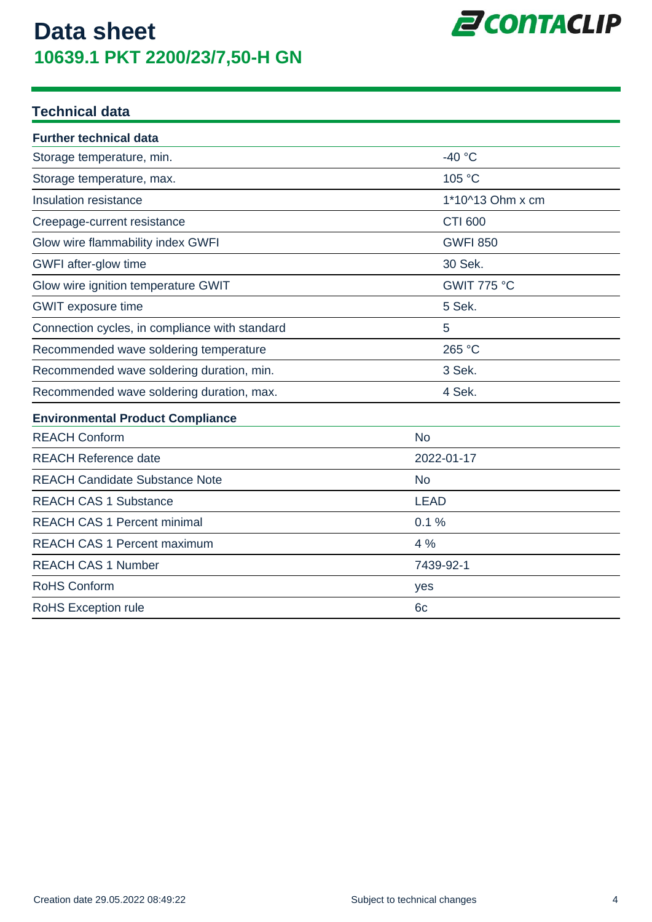

### **Technical data**

| <b>Further technical data</b>                  |                  |
|------------------------------------------------|------------------|
| Storage temperature, min.                      | $-40 °C$         |
| Storage temperature, max.                      | 105 °C           |
| <b>Insulation resistance</b>                   | 1*10^13 Ohm x cm |
| Creepage-current resistance                    | <b>CTI 600</b>   |
| Glow wire flammability index GWFI              | <b>GWFI 850</b>  |
| GWFI after-glow time                           | 30 Sek.          |
| Glow wire ignition temperature GWIT            | GWIT 775 °C      |
| <b>GWIT</b> exposure time                      | 5 Sek.           |
| Connection cycles, in compliance with standard | 5                |
| Recommended wave soldering temperature         | 265 °C           |
| Recommended wave soldering duration, min.      | 3 Sek.           |
| Recommended wave soldering duration, max.      | 4 Sek.           |
| <b>Environmental Product Compliance</b>        |                  |
| <b>REACH Conform</b>                           | <b>No</b>        |
| <b>REACH Reference date</b>                    | 2022-01-17       |
| <b>REACH Candidate Substance Note</b>          | <b>No</b>        |
| <b>REACH CAS 1 Substance</b>                   | <b>LEAD</b>      |
| <b>REACH CAS 1 Percent minimal</b>             | 0.1%             |
| <b>REACH CAS 1 Percent maximum</b>             | 4 %              |
| <b>REACH CAS 1 Number</b>                      | 7439-92-1        |
| RoHS Conform                                   | yes              |
| RoHS Exception rule                            | 6 <sub>c</sub>   |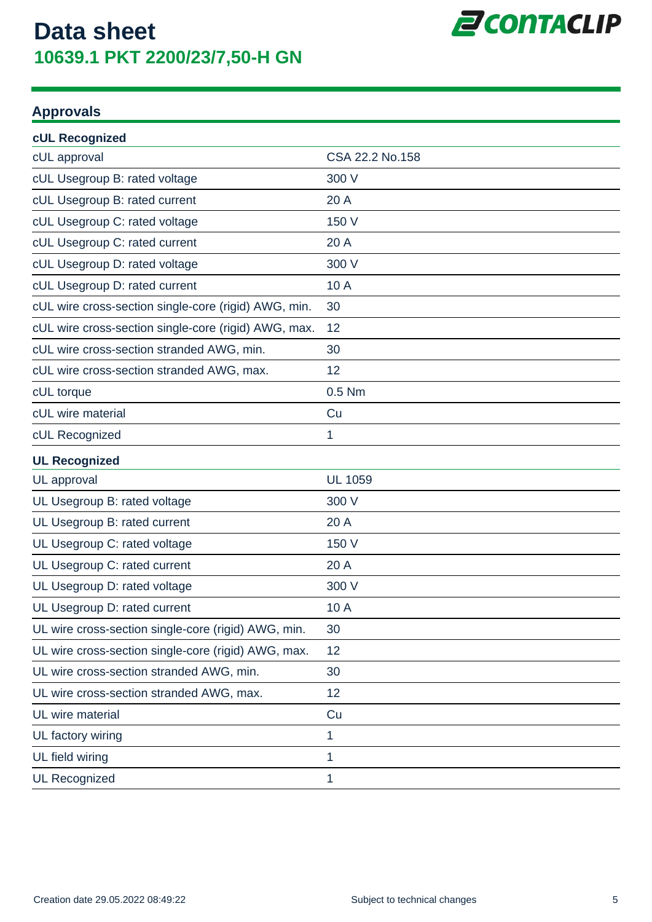

### **Approvals**

| cUL Recognized                                       |                 |
|------------------------------------------------------|-----------------|
| cUL approval                                         | CSA 22.2 No.158 |
| cUL Usegroup B: rated voltage                        | 300 V           |
| cUL Usegroup B: rated current                        | 20 A            |
| cUL Usegroup C: rated voltage                        | 150 V           |
| cUL Usegroup C: rated current                        | 20 A            |
| cUL Usegroup D: rated voltage                        | 300 V           |
| cUL Usegroup D: rated current                        | 10 A            |
| cUL wire cross-section single-core (rigid) AWG, min. | 30              |
| cUL wire cross-section single-core (rigid) AWG, max. | 12              |
| cUL wire cross-section stranded AWG, min.            | 30              |
| cUL wire cross-section stranded AWG, max.            | 12              |
| cUL torque                                           | 0.5 Nm          |
| cUL wire material                                    | Cu              |
| cUL Recognized                                       | 1               |
| <b>UL Recognized</b>                                 |                 |
| UL approval                                          | <b>UL 1059</b>  |
| UL Usegroup B: rated voltage                         | 300 V           |
| UL Usegroup B: rated current                         | 20 A            |
| UL Usegroup C: rated voltage                         | 150 V           |
| UL Usegroup C: rated current                         | 20 A            |
| UL Usegroup D: rated voltage                         | 300 V           |
| UL Usegroup D: rated current                         | 10 A            |
| UL wire cross-section single-core (rigid) AWG, min.  | 30              |
| UL wire cross-section single-core (rigid) AWG, max.  | 12              |
| UL wire cross-section stranded AWG, min.             | 30              |
| UL wire cross-section stranded AWG, max.             | 12              |
| UL wire material                                     | Cu              |
| UL factory wiring                                    | 1               |
| UL field wiring                                      | 1               |
| <b>UL Recognized</b>                                 | 1               |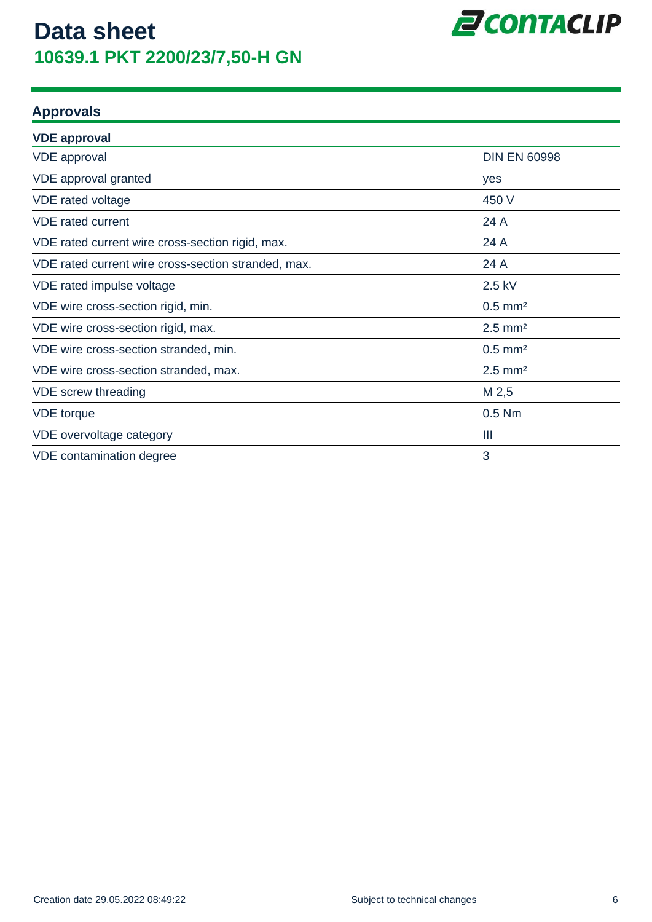

### **Approvals**

| <b>VDE approval</b>                                 |                       |
|-----------------------------------------------------|-----------------------|
| <b>VDE</b> approval                                 | <b>DIN EN 60998</b>   |
| VDE approval granted                                | yes                   |
| VDE rated voltage                                   | 450 V                 |
| <b>VDE</b> rated current                            | 24 A                  |
| VDE rated current wire cross-section rigid, max.    | 24 A                  |
| VDE rated current wire cross-section stranded, max. | 24 A                  |
| VDE rated impulse voltage                           | 2.5 kV                |
| VDE wire cross-section rigid, min.                  | $0.5$ mm <sup>2</sup> |
| VDE wire cross-section rigid, max.                  | $2.5$ mm <sup>2</sup> |
| VDE wire cross-section stranded, min.               | $0.5$ mm <sup>2</sup> |
| VDE wire cross-section stranded, max.               | $2.5$ mm <sup>2</sup> |
| VDE screw threading                                 | M 2,5                 |
| <b>VDE</b> torque                                   | $0.5$ Nm              |
| VDE overvoltage category                            | Ш                     |
| VDE contamination degree                            | 3                     |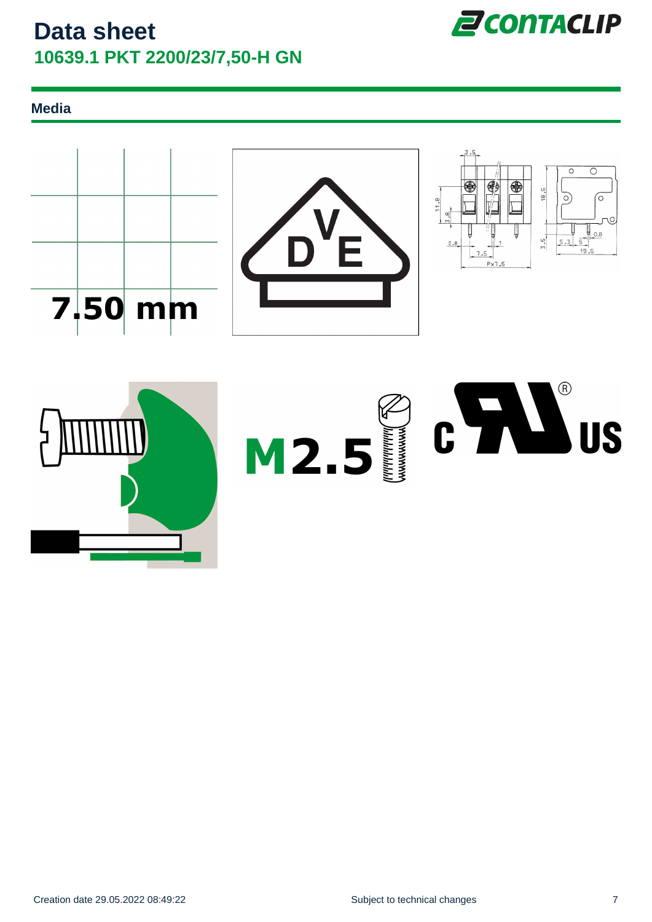![](_page_6_Picture_1.jpeg)

### **Media**

![](_page_6_Figure_3.jpeg)

![](_page_6_Picture_4.jpeg)

![](_page_6_Figure_5.jpeg)

![](_page_6_Picture_6.jpeg)

![](_page_6_Picture_8.jpeg)